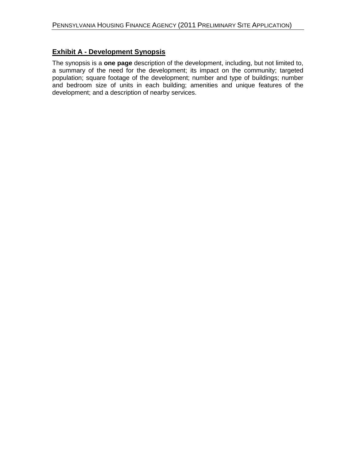## **Exhibit A - Development Synopsis**

The synopsis is a **one page** description of the development, including, but not limited to, a summary of the need for the development; its impact on the community; targeted population; square footage of the development; number and type of buildings; number and bedroom size of units in each building; amenities and unique features of the development; and a description of nearby services.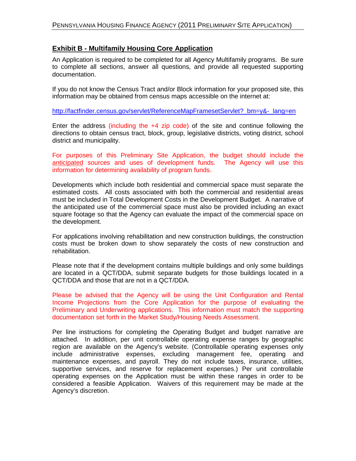### **Exhibit B - Multifamily Housing Core Application**

An Application is required to be completed for all Agency Multifamily programs. Be sure to complete all sections, answer all questions, and provide all requested supporting documentation.

If you do not know the Census Tract and/or Block information for your proposed site, this information may be obtained from census maps accessible on the internet at:

[http://factfinder.census.gov/servlet/ReferenceMapFramesetServlet?\\_bm=y&-\\_lang=en](http://factfinder.census.gov/servlet/ReferenceMapFramesetServlet?_bm=y&-_lang=en)

Enter the address (including the +4 zip code) of the site and continue following the directions to obtain census tract, block, group, legislative districts, voting district, school district and municipality.

For purposes of this Preliminary Site Application, the budget should include the anticipated sources and uses of development funds. The Agency will use this information for determining availability of program funds.

Developments which include both residential and commercial space must separate the estimated costs. All costs associated with both the commercial and residential areas must be included in Total Development Costs in the Development Budget. A narrative of the anticipated use of the commercial space must also be provided including an exact square footage so that the Agency can evaluate the impact of the commercial space on the development.

For applications involving rehabilitation and new construction buildings, the construction costs must be broken down to show separately the costs of new construction and rehabilitation.

Please note that if the development contains multiple buildings and only some buildings are located in a QCT/DDA, submit separate budgets for those buildings located in a QCT/DDA and those that are not in a QCT/DDA.

Please be advised that the Agency will be using the Unit Configuration and Rental Income Projections from the Core Application for the purpose of evaluating the Preliminary and Underwriting applications. This information must match the supporting documentation set forth in the Market Study/Housing Needs Assessment.

Per line instructions for completing the Operating Budget and budget narrative are attached. In addition, per unit controllable operating expense ranges by geographic region are available on the Agency's website. (Controllable operating expenses only include administrative expenses, excluding management fee, operating and maintenance expenses, and payroll. They do not include taxes, insurance, utilities, supportive services, and reserve for replacement expenses.) Per unit controllable operating expenses on the Application must be within these ranges in order to be considered a feasible Application. Waivers of this requirement may be made at the Agency's discretion.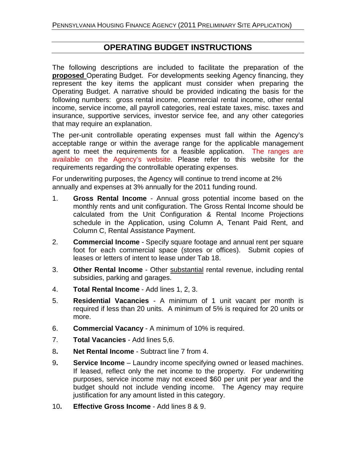## **OPERATING BUDGET INSTRUCTIONS**

The following descriptions are included to facilitate the preparation of the **proposed** Operating Budget. For developments seeking Agency financing, they represent the key items the applicant must consider when preparing the Operating Budget. A narrative should be provided indicating the basis for the following numbers: gross rental income, commercial rental income, other rental income, service income, all payroll categories, real estate taxes, misc. taxes and insurance, supportive services, investor service fee, and any other categories that may require an explanation.

The per-unit controllable operating expenses must fall within the Agency's acceptable range or within the average range for the applicable management agent to meet the requirements for a feasible application. The ranges are available on the Agency's website. Please refer to this website for the requirements regarding the controllable operating expenses.

For underwriting purposes, the Agency will continue to trend income at 2% annually and expenses at 3% annually for the 2011 funding round.

- 1. **Gross Rental Income** Annual gross potential income based on the monthly rents and unit configuration. The Gross Rental Income should be calculated from the Unit Configuration & Rental Income Projections schedule in the Application, using Column A, Tenant Paid Rent, and Column C, Rental Assistance Payment.
- 2. **Commercial Income** Specify square footage and annual rent per square foot for each commercial space (stores or offices). Submit copies of leases or letters of intent to lease under Tab 18.
- 3. **Other Rental Income** Other substantial rental revenue, including rental subsidies, parking and garages.
- 4. **Total Rental Income** Add lines 1, 2, 3.
- 5. **Residential Vacancies** A minimum of 1 unit vacant per month is required if less than 20 units. A minimum of 5% is required for 20 units or more.
- 6. **Commercial Vacancy** A minimum of 10% is required.
- 7. **Total Vacancies** Add lines 5,6.
- 8**. Net Rental Income** Subtract line 7 from 4.
- 9**. Service Income** Laundry income specifying owned or leased machines. If leased, reflect only the net income to the property. For underwriting purposes, service income may not exceed \$60 per unit per year and the budget should not include vending income. The Agency may require justification for any amount listed in this category.
- 10**. Effective Gross Income** Add lines 8 & 9.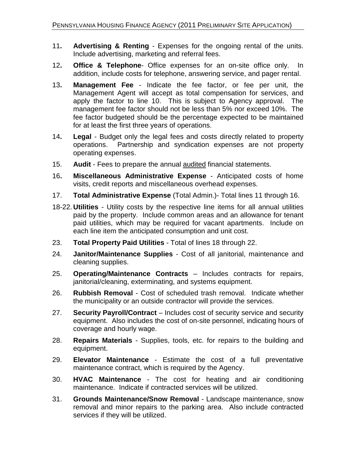- 11**. Advertising & Renting** Expenses for the ongoing rental of the units. Include advertising, marketing and referral fees.
- 12**. Office & Telephone** Office expenses for an on-site office only. In addition, include costs for telephone, answering service, and pager rental.
- 13**. Management Fee** Indicate the fee factor, or fee per unit, the Management Agent will accept as total compensation for services, and apply the factor to line 10. This is subject to Agency approval. The management fee factor should not be less than 5% nor exceed 10%. The fee factor budgeted should be the percentage expected to be maintained for at least the first three years of operations.
- 14**. Legal** Budget only the legal fees and costs directly related to property operations. Partnership and syndication expenses are not property operating expenses.
- 15. **Audit** Fees to prepare the annual audited financial statements.
- 16**. Miscellaneous Administrative Expense** Anticipated costs of home visits, credit reports and miscellaneous overhead expenses.
- 17. **Total Administrative Expense** (Total Admin.)- Total lines 11 through 16.
- 18-22. **Utilities** Utility costs by the respective line items for all annual utilities paid by the property. Include common areas and an allowance for tenant paid utilities, which may be required for vacant apartments. Include on each line item the anticipated consumption and unit cost.
- 23. **Total Property Paid Utilities** Total of lines 18 through 22.
- 24. **Janitor/Maintenance Supplies** Cost of all janitorial, maintenance and cleaning supplies.
- 25. **Operating/Maintenance Contracts**  Includes contracts for repairs, janitorial/cleaning, exterminating, and systems equipment.
- 26. **Rubbish Removal** Cost of scheduled trash removal. Indicate whether the municipality or an outside contractor will provide the services.
- 27. **Security Payroll/Contract** Includes cost of security service and security equipment. Also includes the cost of on-site personnel, indicating hours of coverage and hourly wage.
- 28. **Repairs Materials** Supplies, tools, etc. for repairs to the building and equipment.
- 29. **Elevator Maintenance** Estimate the cost of a full preventative maintenance contract, which is required by the Agency.
- 30. **HVAC Maintenance**  The cost for heating and air conditioning maintenance. Indicate if contracted services will be utilized.
- 31. **Grounds Maintenance/Snow Removal** Landscape maintenance, snow removal and minor repairs to the parking area. Also include contracted services if they will be utilized.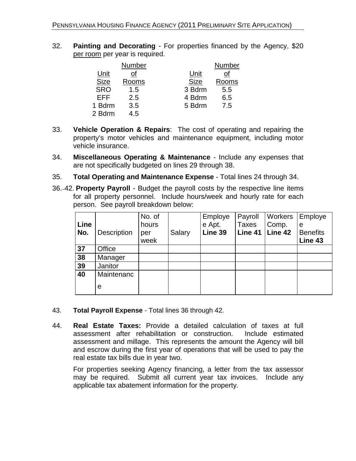32. **Painting and Decorating** - For properties financed by the Agency, \$20 per room per year is required.

|             | Number |             | Number |
|-------------|--------|-------------|--------|
| Unit        | οf     | Unit        | οf     |
| <b>Size</b> | Rooms  | <b>Size</b> | Rooms  |
| <b>SRO</b>  | 1.5    | 3 Bdrm      | 5.5    |
| EFF         | 2.5    | 4 Bdrm      | 6.5    |
| 1 Bdrm      | 3.5    | 5 Bdrm      | 7.5    |
| 2 Bdrm      | 4.5    |             |        |
|             |        |             |        |

- 33. **Vehicle Operation & Repairs**: The cost of operating and repairing the property's motor vehicles and maintenance equipment, including motor vehicle insurance.
- 34. **Miscellaneous Operating & Maintenance** Include any expenses that are not specifically budgeted on lines 29 through 38.
- 35. **Total Operating and Maintenance Expense** Total lines 24 through 34.
- 36.–42. **Property Payroll**  Budget the payroll costs by the respective line items for all property personnel. Include hours/week and hourly rate for each person. See payroll breakdown below:

| Line<br>No. | <b>Description</b> | No. of<br>hours<br>per<br>week | Salary | Employe<br>e Apt.<br>Line 39 | Payroll<br><b>Taxes</b><br>Line 41 | Workers<br>Comp.<br>Line 42 | Employe<br>e<br><b>Benefits</b><br>Line 43 |
|-------------|--------------------|--------------------------------|--------|------------------------------|------------------------------------|-----------------------------|--------------------------------------------|
| 37          | Office             |                                |        |                              |                                    |                             |                                            |
| 38          | Manager            |                                |        |                              |                                    |                             |                                            |
| 39          | Janitor            |                                |        |                              |                                    |                             |                                            |
| 40          | Maintenanc         |                                |        |                              |                                    |                             |                                            |
|             | е                  |                                |        |                              |                                    |                             |                                            |

- 43. **Total Payroll Expense** Total lines 36 through 42.
- 44. **Real Estate Taxes:** Provide a detailed calculation of taxes at full assessment after rehabilitation or construction. Include estimated assessment and millage. This represents the amount the Agency will bill and escrow during the first year of operations that will be used to pay the real estate tax bills due in year two.

For properties seeking Agency financing, a letter from the tax assessor may be required. Submit all current year tax invoices. Include any applicable tax abatement information for the property.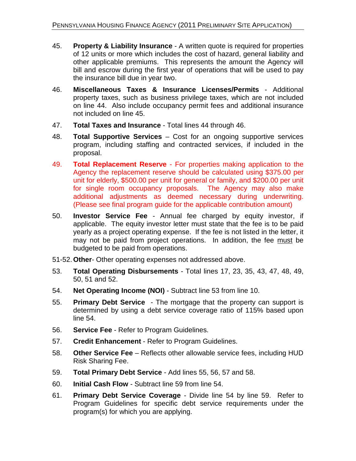- 45. **Property & Liability Insurance** A written quote is required for properties of 12 units or more which includes the cost of hazard, general liability and other applicable premiums. This represents the amount the Agency will bill and escrow during the first year of operations that will be used to pay the insurance bill due in year two.
- 46. **Miscellaneous Taxes & Insurance Licenses/Permits** Additional property taxes, such as business privilege taxes, which are not included on line 44. Also include occupancy permit fees and additional insurance not included on line 45.
- 47. **Total Taxes and Insurance** Total lines 44 through 46.
- 48. **Total Supportive Services** Cost for an ongoing supportive services program, including staffing and contracted services, if included in the proposal.
- 49. **Total Replacement Reserve** For properties making application to the Agency the replacement reserve should be calculated using \$375.00 per unit for elderly, \$500.00 per unit for general or family, and \$200.00 per unit for single room occupancy proposals. The Agency may also make additional adjustments as deemed necessary during underwriting. (Please see final program guide for the applicable contribution amount)
- 50. **Investor Service Fee** Annual fee charged by equity investor, if applicable. The equity investor letter must state that the fee is to be paid yearly as a project operating expense. If the fee is not listed in the letter, it may not be paid from project operations. In addition, the fee must be budgeted to be paid from operations.
- 51-52.**Other** Other operating expenses not addressed above.
- 53. **Total Operating Disbursements** Total lines 17, 23, 35, 43, 47, 48, 49, 50, 51 and 52.
- 54. **Net Operating Income (NOI)** Subtract line 53 from line 10.
- 55. **Primary Debt Service**  The mortgage that the property can support is determined by using a debt service coverage ratio of 115% based upon line 54.
- 56. **Service Fee** Refer to Program Guidelines.
- 57. **Credit Enhancement** Refer to Program Guidelines.
- 58. **Other Service Fee**  Reflects other allowable service fees, including HUD Risk Sharing Fee.
- 59. **Total Primary Debt Service** Add lines 55, 56, 57 and 58.
- 60. **Initial Cash Flow** Subtract line 59 from line 54.
- 61. **Primary Debt Service Coverage** Divide line 54 by line 59. Refer to Program Guidelines for specific debt service requirements under the program(s) for which you are applying.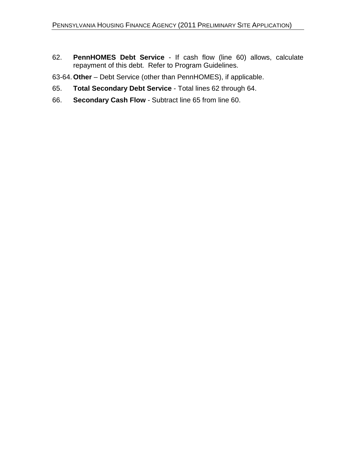62. **PennHOMES Debt Service** - If cash flow (line 60) allows, calculate repayment of this debt. Refer to Program Guidelines.

63-64.**Other** – Debt Service (other than PennHOMES), if applicable.

- 65. **Total Secondary Debt Service** Total lines 62 through 64.
- 66. **Secondary Cash Flow** Subtract line 65 from line 60.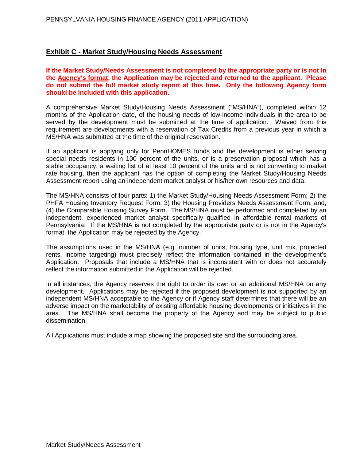### **Exhibit C - Market Study/Housing Needs Assessment**

**If the Market Study/Needs Assessment is not completed by the appropriate party or is not in the Agency's format, the Application may be rejected and returned to the applicant. Please do not submit the full market study report at this time. Only the following Agency form should be included with this application.**

A comprehensive Market Study/Housing Needs Assessment ("MS/HNA"), completed within 12 months of the Application date, of the housing needs of low-income individuals in the area to be served by the development must be submitted at the time of application. Waived from this requirement are developments with a reservation of Tax Credits from a previous year in which a MS/HNA was submitted at the time of the original reservation.

If an applicant is applying only for PennHOMES funds and the development is either serving special needs residents in 100 percent of the units, or is a preservation proposal which has a stable occupancy, a waiting list of at least 10 percent of the units and is not converting to market rate housing, then the applicant has the option of completing the Market Study/Housing Needs Assessment report using an independent market analyst or his/her own resources and data.

The MS/HNA consists of four parts: 1) the Market Study/Housing Needs Assessment Form; 2) the PHFA Housing Inventory Request Form; 3) the Housing Providers Needs Assessment Form; and, (4) the Comparable Housing Survey Form. The MS/HNA must be performed and completed by an independent, experienced market analyst specifically qualified in affordable rental markets of Pennsylvania. If the MS/HNA is not completed by the appropriate party or is not in the Agency's format, the Application may be rejected by the Agency.

The assumptions used in the MS/HNA (e.g. number of units, housing type, unit mix, projected rents, income targeting) must precisely reflect the information contained in the development's Application. Proposals that include a MS/HNA that is inconsistent with or does not accurately reflect the information submitted in the Application will be rejected.

In all instances, the Agency reserves the right to order its own or an additional MS/HNA on any development. Applications may be rejected if the proposed development is not supported by an independent MS/HNA acceptable to the Agency or if Agency staff determines that there will be an adverse impact on the marketability of existing affordable housing developments or initiatives in the area. The MS/HNA shall become the property of the Agency and may be subject to public dissemination.

All Applications must include a map showing the proposed site and the surrounding area.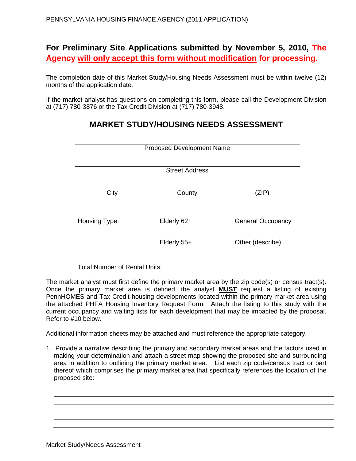## **For Preliminary Site Applications submitted by November 5, 2010, The Agency will only accept this form without modification for processing.**

The completion date of this Market Study/Housing Needs Assessment must be within twelve (12) months of the application date.

If the market analyst has questions on completing this form, please call the Development Division at (717) 780-3876 or the Tax Credit Division at (717) 780-3948.

|               | <b>Proposed Development Name</b> |                          |
|---------------|----------------------------------|--------------------------|
|               | <b>Street Address</b>            |                          |
| City          | County                           | (ZIP)                    |
| Housing Type: | Elderly 62+                      | <b>General Occupancy</b> |
|               | Elderly 55+                      | Other (describe)         |
|               |                                  |                          |

## **MARKET STUDY/HOUSING NEEDS ASSESSMENT**

Total Number of Rental Units:

The market analyst must first define the primary market area by the zip code(s) or census tract(s). Once the primary market area is defined, the analyst **MUST** request a listing of existing PennHOMES and Tax Credit housing developments located within the primary market area using the attached PHFA Housing Inventory Request Form. Attach the listing to this study with the current occupancy and waiting lists for each development that may be impacted by the proposal. Refer to #10 below.

Additional information sheets may be attached and must reference the appropriate category.

1. Provide a narrative describing the primary and secondary market areas and the factors used in making your determination and attach a street map showing the proposed site and surrounding area in addition to outlining the primary market area. List each zip code/census tract or part thereof which comprises the primary market area that specifically references the location of the proposed site: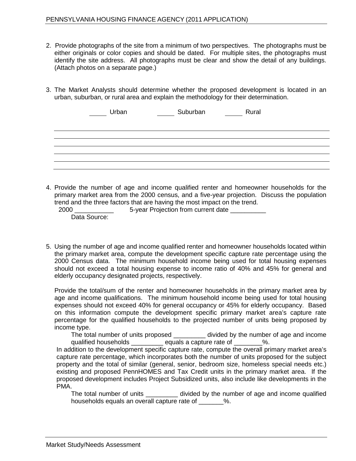- 2. Provide photographs of the site from a minimum of two perspectives. The photographs must be either originals or color copies and should be dated. For multiple sites, the photographs must identify the site address. All photographs must be clear and show the detail of any buildings. (Attach photos on a separate page.)
- 3. The Market Analysts should determine whether the proposed development is located in an urban, suburban, or rural area and explain the methodology for their determination.

| Urban | Suburban <b>Marson</b> Rural |  |
|-------|------------------------------|--|
|       |                              |  |
|       |                              |  |
|       |                              |  |
|       |                              |  |
|       |                              |  |
|       |                              |  |
|       |                              |  |

4. Provide the number of age and income qualified renter and homeowner households for the primary market area from the 2000 census, and a five-year projection. Discuss the population trend and the three factors that are having the most impact on the trend.

2000 \_\_\_\_\_\_\_\_\_\_\_ 5-year Projection from current date \_\_\_\_\_\_\_\_\_\_ Data Source:

5. Using the number of age and income qualified renter and homeowner households located within the primary market area, compute the development specific capture rate percentage using the 2000 Census data. The minimum household income being used for total housing expenses should not exceed a total housing expense to income ratio of 40% and 45% for general and elderly occupancy designated projects, respectively.

Provide the total/sum of the renter and homeowner households in the primary market area by age and income qualifications. The minimum household income being used for total housing expenses should not exceed 40% for general occupancy or 45% for elderly occupancy. Based on this information compute the development specific primary market area's capture rate percentage for the qualified households to the projected number of units being proposed by income type.

The total number of units proposed \_\_\_\_\_\_\_\_\_ divided by the number of age and income qualified households \_\_\_\_\_\_\_\_\_\_ equals a capture rate of \_\_\_\_\_\_\_\_%.

In addition to the development specific capture rate, compute the overall primary market area's capture rate percentage, which incorporates both the number of units proposed for the subject property and the total of similar (general, senior, bedroom size, homeless special needs etc.) existing and proposed PennHOMES and Tax Credit units in the primary market area. If the proposed development includes Project Subsidized units, also include like developments in the PMA.

The total number of units \_\_\_\_\_\_\_\_\_ divided by the number of age and income qualified households equals an overall capture rate of \_\_\_\_\_\_\_%.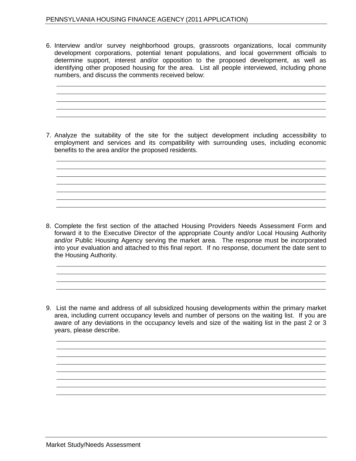6. Interview and/or survey neighborhood groups, grassroots organizations, local community development corporations, potential tenant populations, and local government officials to determine support, interest and/or opposition to the proposed development, as well as identifying other proposed housing for the area. List all people interviewed, including phone numbers, and discuss the comments received below:

7. Analyze the suitability of the site for the subject development including accessibility to employment and services and its compatibility with surrounding uses, including economic benefits to the area and/or the proposed residents.

8. Complete the first section of the attached Housing Providers Needs Assessment Form and forward it to the Executive Director of the appropriate County and/or Local Housing Authority and/or Public Housing Agency serving the market area. The response must be incorporated into your evaluation and attached to this final report. If no response, document the date sent to the Housing Authority.

9. List the name and address of all subsidized housing developments within the primary market area, including current occupancy levels and number of persons on the waiting list. If you are aware of any deviations in the occupancy levels and size of the waiting list in the past 2 or 3 years, please describe.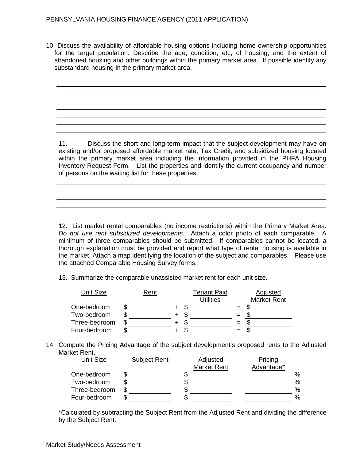10. Discuss the availability of affordable housing options including home ownership opportunities for the target population. Describe the age, condition, etc, of housing, and the extent of abandoned housing and other buildings within the primary market area. If possible identify any substandard housing in the primary market area.

11. Discuss the short and long-term impact that the subject development may have on

existing and/or proposed affordable market rate, Tax Credit, and subsidized housing located within the primary market area including the information provided in the PHFA Housing Inventory Request Form. List the properties and identify the current occupancy and number of persons on the waiting list for these properties.

12. List market rental comparables (no income restrictions) within the Primary Market Area. *Do not use rent subsidized developments.* Attach a color photo of each comparable. A minimum of three comparables should be submitted. If comparables cannot be located, a thorough explanation must be provided and report what type of rental housing is available in the market. Attach a map identifying the location of the subject and comparables. Please use the attached Comparable Housing Survey forms.

13. Summarize the comparable unassisted market rent for each unit size.

| <b>Unit Size</b> | Rent |  | <b>Tenant Paid</b> |     | Adjusted           |
|------------------|------|--|--------------------|-----|--------------------|
|                  |      |  | Utilities          |     | <b>Market Rent</b> |
| One-bedroom      |      |  |                    |     |                    |
| Two-bedroom      |      |  |                    | $=$ |                    |
| Three-bedroom    |      |  |                    |     |                    |
| Four-bedroom     |      |  |                    | $=$ |                    |

14. Compute the Pricing Advantage of the subject development's proposed rents to the Adjusted Market Rent.

| <b>Subject Rent</b> | <b>Adjusted</b>    |            |         |
|---------------------|--------------------|------------|---------|
|                     | <b>Market Rent</b> | Advantage* |         |
|                     |                    |            | %       |
|                     |                    |            | %       |
|                     |                    |            | %       |
|                     |                    |            | %       |
|                     |                    |            | Pricing |

\*Calculated by subtracting the Subject Rent from the Adjusted Rent and dividing the difference by the Subject Rent.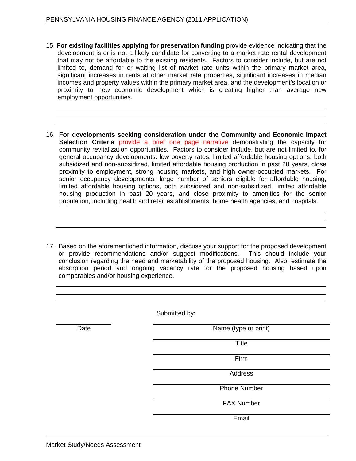- 15. **For existing facilities applying for preservation funding** provide evidence indicating that the development is or is not a likely candidate for converting to a market rate rental development that may not be affordable to the existing residents. Factors to consider include, but are not limited to, demand for or waiting list of market rate units within the primary market area, significant increases in rents at other market rate properties, significant increases in median incomes and property values within the primary market area, and the development's location or proximity to new economic development which is creating higher than average new employment opportunities.
- 16. **For developments seeking consideration under the Community and Economic Impact Selection Criteria** provide a brief one page narrative demonstrating the capacity for community revitalization opportunities. Factors to consider include, but are not limited to, for general occupancy developments: low poverty rates, limited affordable housing options, both subsidized and non-subsidized, limited affordable housing production in past 20 years, close proximity to employment, strong housing markets, and high owner-occupied markets. For senior occupancy developments: large number of seniors eligible for affordable housing, limited affordable housing options, both subsidized and non-subsidized, limited affordable housing production in past 20 years, and close proximity to amenities for the senior population, including health and retail establishments, home health agencies, and hospitals.
- 17. Based on the aforementioned information, discuss your support for the proposed development or provide recommendations and/or suggest modifications. This should include your conclusion regarding the need and marketability of the proposed housing. Also, estimate the absorption period and ongoing vacancy rate for the proposed housing based upon comparables and/or housing experience.

|      | Submitted by:        |
|------|----------------------|
| Date | Name (type or print) |
|      | <b>Title</b>         |
|      | Firm                 |
|      | Address              |
|      | <b>Phone Number</b>  |
|      | <b>FAX Number</b>    |
|      | Email                |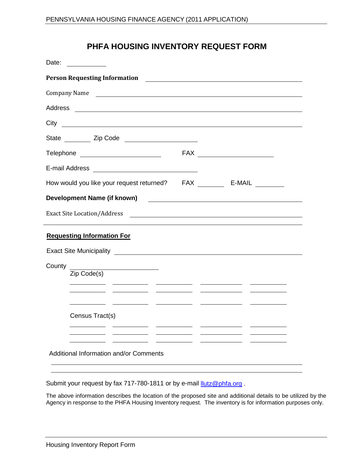## **PHFA HOUSING INVENTORY REQUEST FORM**

| Date:                                                          |  |
|----------------------------------------------------------------|--|
|                                                                |  |
| Company Name                                                   |  |
|                                                                |  |
|                                                                |  |
|                                                                |  |
| Telephone __________________________                           |  |
|                                                                |  |
| How would you like your request returned? FAX _________ E-MAIL |  |
|                                                                |  |
| Exact Site Location/Address                                    |  |
| <b>Requesting Information For</b>                              |  |
|                                                                |  |
| County<br>Zip Code(s)                                          |  |
| Census Tract(s)                                                |  |
| Additional Information and/or Comments                         |  |

Submit your request by fax 717-780-1811 or by e-mail *llutz@phfa.org*.

The above information describes the location of the proposed site and additional details to be utilized by the Agency in response to the PHFA Housing Inventory request. The inventory is for information purposes only.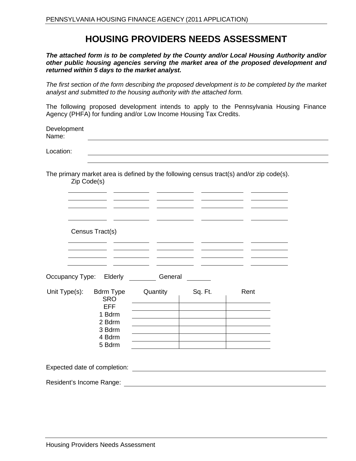## **HOUSING PROVIDERS NEEDS ASSESSMENT**

*The attached form is to be completed by the County and/or Local Housing Authority and/or other public housing agencies serving the market area of the proposed development and returned within 5 days to the market analyst.*

*The first section of the form describing the proposed development is to be completed by the market analyst and submitted to the housing authority with the attached form.*

The following proposed development intends to apply to the Pennsylvania Housing Finance Agency (PHFA) for funding and/or Low Income Housing Tax Credits.

| Development<br>Name: |  |
|----------------------|--|
| Location:            |  |

The primary market area is defined by the following census tract(s) and/or zip code(s). Zip Code(s)

|                              | Census Tract(s)                |          |         |      |  |
|------------------------------|--------------------------------|----------|---------|------|--|
|                              |                                |          |         |      |  |
|                              |                                |          |         |      |  |
|                              | Occupancy Type: Elderly        | General  |         |      |  |
| Unit Type(s):                | <b>Bdrm Type</b><br><b>SRO</b> | Quantity | Sq. Ft. | Rent |  |
|                              | <b>EFF</b>                     |          |         |      |  |
|                              | 1 Bdrm                         |          |         |      |  |
|                              | 2 Bdrm<br>3 Bdrm               |          |         |      |  |
|                              | 4 Bdrm                         |          |         |      |  |
|                              | 5 Bdrm                         |          |         |      |  |
|                              |                                |          |         |      |  |
| Expected date of completion: |                                |          |         |      |  |
| Resident's Income Range:     |                                |          |         |      |  |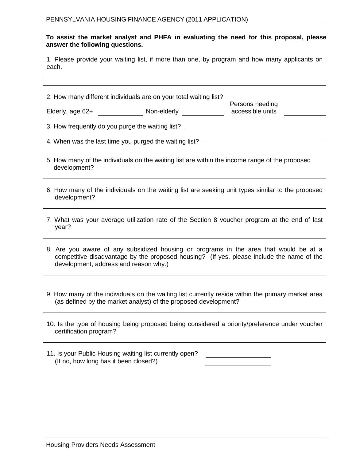#### **To assist the market analyst and PHFA in evaluating the need for this proposal, please answer the following questions.**

1. Please provide your waiting list, if more than one, by program and how many applicants on each.

| 2. How many different individuals are on your total waiting list?                                                                                                                                                           | Persons needing |                                                                                                |  |  |  |
|-----------------------------------------------------------------------------------------------------------------------------------------------------------------------------------------------------------------------------|-----------------|------------------------------------------------------------------------------------------------|--|--|--|
|                                                                                                                                                                                                                             |                 | accessible units                                                                               |  |  |  |
|                                                                                                                                                                                                                             |                 | 3. How frequently do you purge the waiting list? _______________________________               |  |  |  |
|                                                                                                                                                                                                                             |                 | 4. When was the last time you purged the waiting list? ————————————————————                    |  |  |  |
| development?                                                                                                                                                                                                                |                 | 5. How many of the individuals on the waiting list are within the income range of the proposed |  |  |  |
| 6. How many of the individuals on the waiting list are seeking unit types similar to the proposed<br>development?                                                                                                           |                 |                                                                                                |  |  |  |
| 7. What was your average utilization rate of the Section 8 voucher program at the end of last<br>year?                                                                                                                      |                 |                                                                                                |  |  |  |
| 8. Are you aware of any subsidized housing or programs in the area that would be at a<br>competitive disadvantage by the proposed housing? (If yes, please include the name of the<br>development, address and reason why.) |                 |                                                                                                |  |  |  |
|                                                                                                                                                                                                                             |                 |                                                                                                |  |  |  |
| 9. How many of the individuals on the waiting list currently reside within the primary market area<br>(as defined by the market analyst) of the proposed development?                                                       |                 |                                                                                                |  |  |  |
| 10. Is the type of housing being proposed being considered a priority/preference under voucher<br>certification program?                                                                                                    |                 |                                                                                                |  |  |  |

| 11. Is your Public Housing waiting list currently open? |  |
|---------------------------------------------------------|--|
| (If no, how long has it been closed?)                   |  |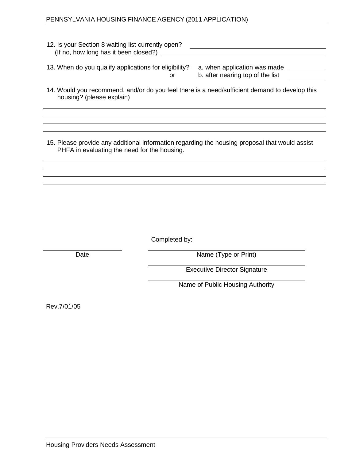#### PENNSYLVANIA HOUSING FINANCE AGENCY (2011 APPLICATION)

| 12. Is your Section 8 waiting list currently open?<br>(If no, how long has it been closed?) |                                                                  |  |
|---------------------------------------------------------------------------------------------|------------------------------------------------------------------|--|
| 13. When do you qualify applications for eligibility?<br>or                                 | a. when application was made<br>b. after nearing top of the list |  |

14. Would you recommend, and/or do you feel there is a need/sufficient demand to develop this housing? (please explain)

15. Please provide any additional information regarding the housing proposal that would assist PHFA in evaluating the need for the housing.

Completed by:

Date Name (Type or Print)

Executive Director Signature

Name of Public Housing Authority

Rev.7/01/05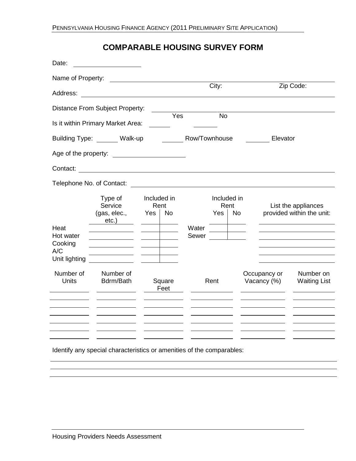## **COMPARABLE HOUSING SURVEY FORM**

| Date:                                        |                                                |                            |                |               |           |                                  |                             |                                                  |
|----------------------------------------------|------------------------------------------------|----------------------------|----------------|---------------|-----------|----------------------------------|-----------------------------|--------------------------------------------------|
| Name of Property:                            |                                                |                            |                |               |           |                                  |                             |                                                  |
| Address:                                     |                                                |                            |                |               | City:     |                                  |                             | Zip Code:                                        |
|                                              | Distance From Subject Property:                |                            |                |               |           |                                  |                             |                                                  |
|                                              | Is it within Primary Market Area:              |                            | Yes            |               | <b>No</b> |                                  |                             |                                                  |
|                                              | Building Type: Walk-up                         |                            |                | Row/Townhouse |           |                                  | Elevator                    |                                                  |
| Age of the property:                         |                                                |                            |                |               |           |                                  |                             |                                                  |
| Contact:                                     |                                                |                            |                |               |           |                                  |                             |                                                  |
| Telephone No. of Contact:                    |                                                |                            |                |               |           |                                  |                             |                                                  |
| Heat                                         | Type of<br>Service<br>(gas, elec.,<br>$etc.$ ) | Included in<br>Rent<br>Yes | <b>No</b>      | Water         | Yes       | Included in<br>Rent<br><b>No</b> |                             | List the appliances<br>provided within the unit: |
| Hot water<br>Cooking<br>A/C<br>Unit lighting |                                                |                            |                | Sewer         |           |                                  |                             |                                                  |
| Number of<br>Units                           | Number of<br>Bdrm/Bath                         |                            | Square<br>Feet |               | Rent      |                                  | Occupancy or<br>Vacancy (%) | Number on<br><b>Waiting List</b>                 |
|                                              |                                                |                            |                |               |           |                                  |                             |                                                  |

Identify any special characteristics or amenities of the comparables: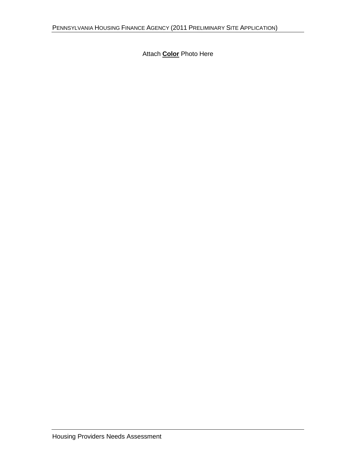Attach **Color** Photo Here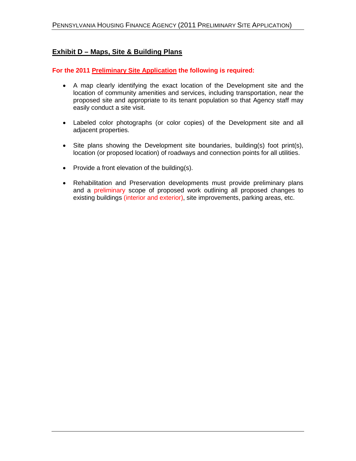## **Exhibit D – Maps, Site & Building Plans**

**For the 2011 Preliminary Site Application the following is required:**

- A map clearly identifying the exact location of the Development site and the location of community amenities and services, including transportation, near the proposed site and appropriate to its tenant population so that Agency staff may easily conduct a site visit.
- Labeled color photographs (or color copies) of the Development site and all adjacent properties.
- Site plans showing the Development site boundaries, building(s) foot print(s), location (or proposed location) of roadways and connection points for all utilities.
- Provide a front elevation of the building(s).
- Rehabilitation and Preservation developments must provide preliminary plans and a preliminary scope of proposed work outlining all proposed changes to existing buildings (interior and exterior), site improvements, parking areas, etc.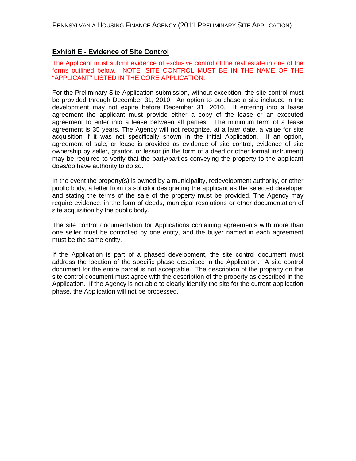## **Exhibit E - Evidence of Site Control**

The Applicant must submit evidence of exclusive control of the real estate in one of the forms outlined below. NOTE: SITE CONTROL MUST BE IN THE NAME OF THE "APPLICANT" LISTED IN THE CORE APPLICATION.

For the Preliminary Site Application submission, without exception, the site control must be provided through December 31, 2010. An option to purchase a site included in the development may not expire before December 31, 2010. If entering into a lease agreement the applicant must provide either a copy of the lease or an executed agreement to enter into a lease between all parties. The minimum term of a lease agreement is 35 years. The Agency will not recognize, at a later date, a value for site acquisition if it was not specifically shown in the initial Application. If an option, agreement of sale, or lease is provided as evidence of site control, evidence of site ownership by seller, grantor, or lessor (in the form of a deed or other formal instrument) may be required to verify that the party/parties conveying the property to the applicant does/do have authority to do so.

In the event the property(s) is owned by a municipality, redevelopment authority, or other public body, a letter from its solicitor designating the applicant as the selected developer and stating the terms of the sale of the property must be provided. The Agency may require evidence, in the form of deeds, municipal resolutions or other documentation of site acquisition by the public body.

The site control documentation for Applications containing agreements with more than one seller must be controlled by one entity, and the buyer named in each agreement must be the same entity.

If the Application is part of a phased development, the site control document must address the location of the specific phase described in the Application. A site control document for the entire parcel is not acceptable. The description of the property on the site control document must agree with the description of the property as described in the Application. If the Agency is not able to clearly identify the site for the current application phase, the Application will not be processed.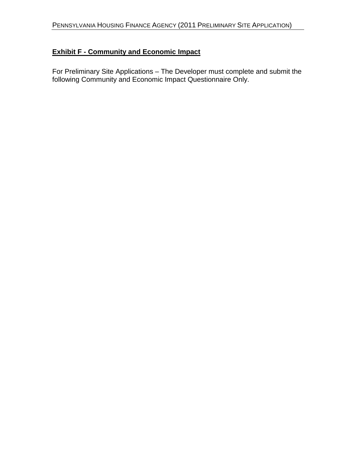## **Exhibit F - Community and Economic Impact**

For Preliminary Site Applications – The Developer must complete and submit the following Community and Economic Impact Questionnaire Only.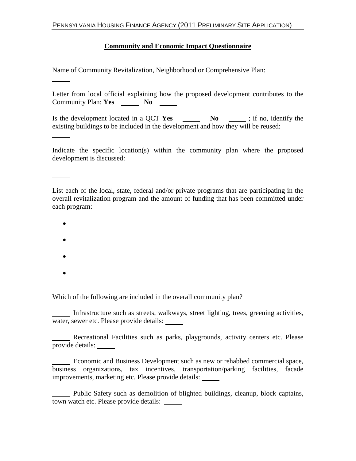## **Community and Economic Impact Questionnaire**

Name of Community Revitalization, Neighborhood or Comprehensive Plan:

Letter from local official explaining how the proposed development contributes to the Community Plan: **Yes** No

Is the development located in a QCT Yes No identify the existing buildings to be included in the development and how they will be reused:

Indicate the specific location(s) within the community plan where the proposed development is discussed:

List each of the local, state, federal and/or private programs that are participating in the overall revitalization program and the amount of funding that has been committed under each program:

- •
- •
- •
- •

Which of the following are included in the overall community plan?

Infrastructure such as streets, walkways, street lighting, trees, greening activities, water, sewer etc. Please provide details:

Recreational Facilities such as parks, playgrounds, activity centers etc. Please provide details:

Economic and Business Development such as new or rehabbed commercial space, business organizations, tax incentives, transportation/parking facilities, facade improvements, marketing etc. Please provide details:

Public Safety such as demolition of blighted buildings, cleanup, block captains, town watch etc. Please provide details: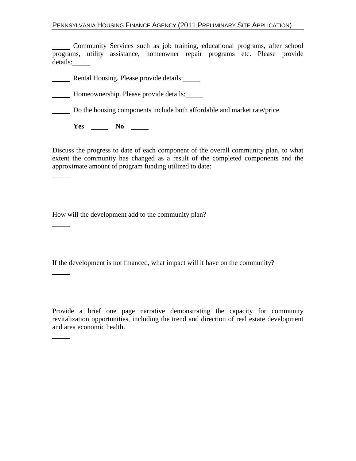Community Services such as job training, educational programs, after school programs, utility assistance, homeowner repair programs etc. Please provide details:

Rental Housing. Please provide details:

**Homeownership. Please provide details:** 

Do the housing components include both affordable and market rate/price

**Yes No** No 2008

Discuss the progress to date of each component of the overall community plan, to what extent the community has changed as a result of the completed components and the approximate amount of program funding utilized to date:

How will the development add to the community plan?

If the development is not financed, what impact will it have on the community?

Provide a brief one page narrative demonstrating the capacity for community revitalization opportunities, including the trend and direction of real estate development and area economic health.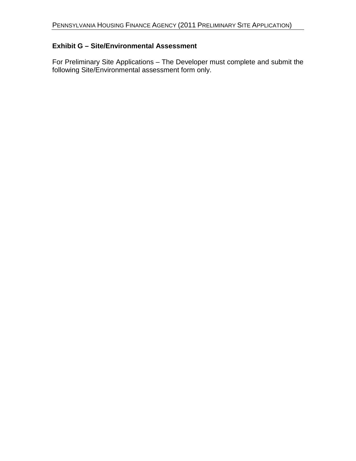## **Exhibit G – Site/Environmental Assessment**

For Preliminary Site Applications – The Developer must complete and submit the following Site/Environmental assessment form only.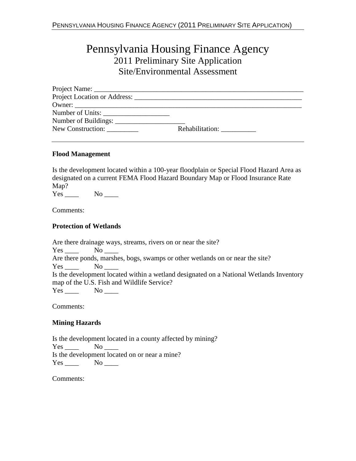# Pennsylvania Housing Finance Agency 2011 Preliminary Site Application Site/Environmental Assessment

| Number of Units:  |                 |
|-------------------|-----------------|
|                   |                 |
| New Construction: | Rehabilitation: |

#### **Flood Management**

Is the development located within a 100-year floodplain or Special Flood Hazard Area as designated on a current FEMA Flood Hazard Boundary Map or Flood Insurance Rate Map?

Yes \_\_\_\_\_ No \_\_\_\_\_

Comments:

## **Protection of Wetlands**

| Are there drainage ways, streams, rivers on or near the site?                                                   |
|-----------------------------------------------------------------------------------------------------------------|
| No the set of the set of the set of the set of the set of the set of the set of the set of the set of the set o |
| Are there ponds, marshes, bogs, swamps or other wetlands on or near the site?                                   |
| No results and the North States.                                                                                |
| Is the development located within a wetland designated on a National Wetlands Inventory                         |
| map of the U.S. Fish and Wildlife Service?                                                                      |
| $Yes$ No $\_\_$                                                                                                 |
|                                                                                                                 |

Comments:

### **Mining Hazards**

Is the development located in a county affected by mining? Yes No Is the development located on or near a mine?  $Yes \_ No \_$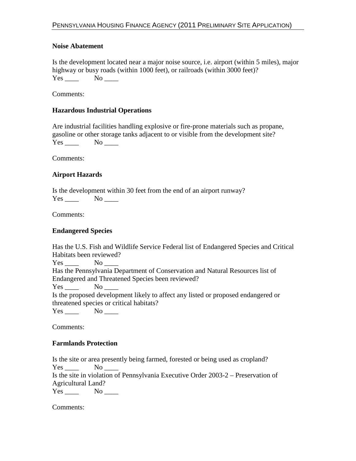#### **Noise Abatement**

Is the development located near a major noise source, i.e. airport (within 5 miles), major highway or busy roads (within 1000 feet), or railroads (within 3000 feet)?  $Yes$  No  $\_\_$ 

Comments:

#### **Hazardous Industrial Operations**

Are industrial facilities handling explosive or fire-prone materials such as propane, gasoline or other storage tanks adjacent to or visible from the development site? Yes No

Comments:

#### **Airport Hazards**

Is the development within 30 feet from the end of an airport runway?  $Yes \_ No \_$ 

Comments:

#### **Endangered Species**

| Has the U.S. Fish and Wildlife Service Federal list of Endangered Species and Critical |
|----------------------------------------------------------------------------------------|
| Habitats been reviewed?                                                                |
| $Yes \_ No \_$                                                                         |
| Has the Pennsylvania Department of Conservation and Natural Resources list of          |
| Endangered and Threatened Species been reviewed?                                       |
| $Yes \t No \t No$                                                                      |
| Is the proposed development likely to affect any listed or proposed endangered or      |
| threatened species or critical habitats?                                               |
| No no                                                                                  |

Comments:

#### **Farmlands Protection**

Is the site or area presently being farmed, forested or being used as cropland? Yes \_\_\_\_ No \_\_\_\_ Is the site in violation of Pennsylvania Executive Order 2003-2 – Preservation of Agricultural Land?  $Yes \_\_\_\_$  No  $\_\_\_\$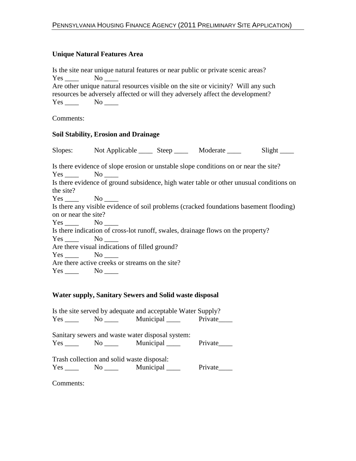### **Unique Natural Features Area**

Is the site near unique natural features or near public or private scenic areas?  $Yes \_\_\_$  No  $\_\_\_$ Are other unique natural resources visible on the site or vicinity? Will any such resources be adversely affected or will they adversely affect the development? Yes \_\_\_\_\_\_ No \_\_\_\_\_

Comments:

## **Soil Stability, Erosion and Drainage**

|                      | Slopes: Not Applicable _______ Steep _________ Moderate ______                                                    |  | Slight |
|----------------------|-------------------------------------------------------------------------------------------------------------------|--|--------|
|                      | Is there evidence of slope erosion or unstable slope conditions on or near the site?<br>$Yes \_\_\_$ No $\_\_\_\$ |  |        |
|                      | Is there evidence of ground subsidence, high water table or other unusual conditions on                           |  |        |
| the site?            |                                                                                                                   |  |        |
|                      | $Yes \_ No \_$                                                                                                    |  |        |
|                      | Is there any visible evidence of soil problems (cracked foundations basement flooding)                            |  |        |
| on or near the site? |                                                                                                                   |  |        |
|                      | $Yes \_\_\_$ No $\_\_\_$                                                                                          |  |        |
|                      | Is there indication of cross-lot runoff, swales, drainage flows on the property?                                  |  |        |
|                      | $Yes \_ No \_$                                                                                                    |  |        |
|                      | Are there visual indications of filled ground?                                                                    |  |        |
|                      | $Yes \_ No \_$                                                                                                    |  |        |
|                      | Are there active creeks or streams on the site?                                                                   |  |        |
|                      | $Yes$ No $\qquad$                                                                                                 |  |        |

### **Water supply, Sanitary Sewers and Solid waste disposal**

| Is the site served by adequate and acceptable Water Supply? |                                            |                                                   |         |  |
|-------------------------------------------------------------|--------------------------------------------|---------------------------------------------------|---------|--|
|                                                             |                                            | Yes No Municipal Private                          |         |  |
|                                                             |                                            | Sanitary sewers and waste water disposal system:  |         |  |
|                                                             |                                            | Yes No Municipal Private                          |         |  |
|                                                             | Trash collection and solid waste disposal: |                                                   |         |  |
|                                                             |                                            | $Yes \_\_\_\_$ No $\_\_\_\$ Municipal $\_\_\_\_\$ | Private |  |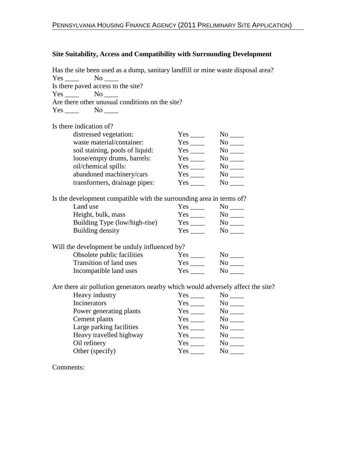#### **Site Suitability, Access and Compatibility with Surrounding Development**

Has the site been used as a dump, sanitary landfill or mine waste disposal area?  $Yes$  No  $N$ Is there paved access to the site? Yes No Are there other unusual conditions on the site? Yes \_\_\_\_\_\_ No \_\_\_\_\_ Is there indication of? distressed vegetation: Yes \_\_\_\_ No \_\_\_\_ waste material/container:<br>soil staining, pools of liquid: Yes \_\_\_\_\_\_\_\_ No \_\_\_\_\_\_ soil staining, pools of liquid: loose/empty drums, barrels: Yes \_\_\_\_ No \_\_\_\_ oil/chemical spills: Yes No No No abandoned machinery/cars Yes \_\_\_\_ No \_\_\_\_ transformers, drainage pipes: Yes \_\_\_\_ No \_\_\_\_ Is the development compatible with the surrounding area in terms of? Land use Yes \_\_\_\_ No \_\_\_\_ Height, bulk, mass Yes \_\_\_\_ No \_\_\_\_ Building Type (low/high-rise) Yes \_\_\_\_ No \_\_\_ Building density Yes \_\_\_\_ No \_\_\_\_ Will the development be unduly influenced by?<br>Obsolete public facilities Yes \_\_\_\_\_\_\_ Obsolete public facilities Yes \_\_\_\_ No \_\_\_\_ Transition of land uses Yes \_\_\_\_ No \_\_\_\_ Incompatible land uses Yes \_\_\_\_ No \_\_\_\_ Are there air pollution generators nearby which would adversely affect the site? Heavy industry Incinerators Yes No Legislations No No Legislations No No Legislations No Legislations No Legislations No No Legislations No Legislations No Legislations No No Legislations No Legislations No Legislations No Legislations N Power generating plants Yes \_\_\_\_ No \_\_\_\_

|     | No  |
|-----|-----|
| Yes | No  |
| Yes | No  |
| Yes | No  |
| Yes | No  |
| Yes | No  |
|     | Yes |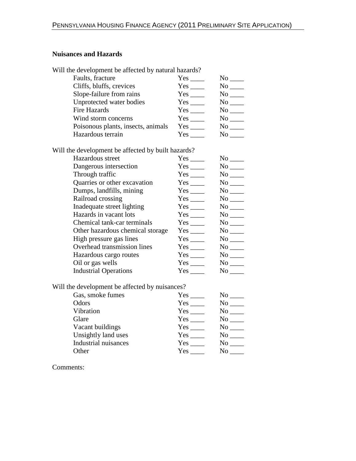## **Nuisances and Hazards**

| Will the development be affected by natural hazards? |      |      |
|------------------------------------------------------|------|------|
| Faults, fracture                                     | Yes  | No.  |
| Cliffs, bluffs, crevices                             | Yes  | No.  |
| Slope-failure from rains                             |      | No - |
| Unprotected water bodies                             | Yes  | No.  |
| <b>Fire Hazards</b>                                  | Yes  | No.  |
| Wind storm concerns                                  | Yes  | No.  |
| Poisonous plants, insects, animals                   | Yes  | No.  |
| Hazardous terrain                                    | Yes. | No.  |
|                                                      |      |      |

Will the development be affected by built hazards?

| Hazardous street                 |          |                       |
|----------------------------------|----------|-----------------------|
| Dangerous intersection           |          | No no                 |
| Through traffic                  |          |                       |
| Quarries or other excavation     |          |                       |
| Dumps, landfills, mining         |          | $No$ <sub>_____</sub> |
| Railroad crossing                |          | $No$ $\_\_$           |
| Inadequate street lighting       |          |                       |
| Hazards in vacant lots           | Yes      |                       |
| Chemical tank-car terminals      |          |                       |
| Other hazardous chemical storage |          | $No \_\_$             |
| High pressure gas lines          |          |                       |
| Overhead transmission lines      |          | $No \_\_$             |
| Hazardous cargo routes           | Yes      | $No$ $\_\_$           |
| Oil or gas wells                 |          | $No \_\_$             |
| <b>Industrial Operations</b>     | $Yes \_$ | $No \_\_$             |

Will the development be affected by nuisances?

| Gas, smoke fumes            | Yes | No |
|-----------------------------|-----|----|
| Odors                       | Yes | Nο |
| Vibration                   | Yes | No |
| Glare                       | Yes | No |
| Vacant buildings            | Yes | Nο |
| Unsightly land uses         | Yes | No |
| <b>Industrial nuisances</b> | Yes | No |
| Other                       | Yes |    |